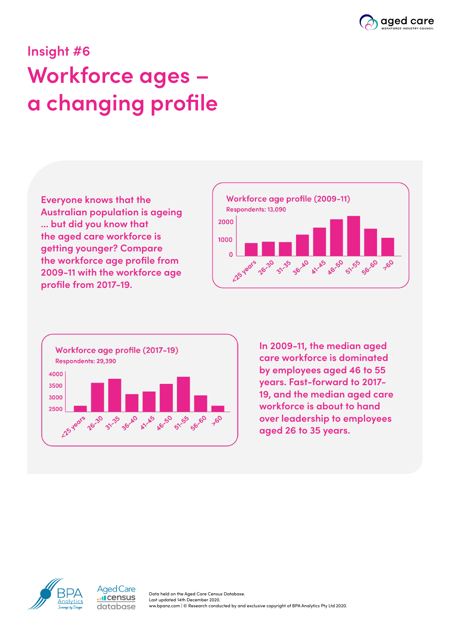

## **Insight #6 Workforce ages – a changing profile**

**Everyone knows that the Australian population is ageing ... but did you know that the aged care workforce is getting younger? Compare the workforce age profile from 2009-11 with the workforce age profile from 2017-19.**





**In 2009-11, the median aged care workforce is dominated by employees aged 46 to 55 years. Fast-forward to 2017- 19, and the median aged care workforce is about to hand over leadership to employees aged 26 to 35 years.**



Aged Care **I**census database

Data held on the Aged Care Census Database. Last updated 14th December 2020. ww.bpanz.com | © Research conducted by and exclusive copyright of BPA Analytics Pty Ltd 2020.